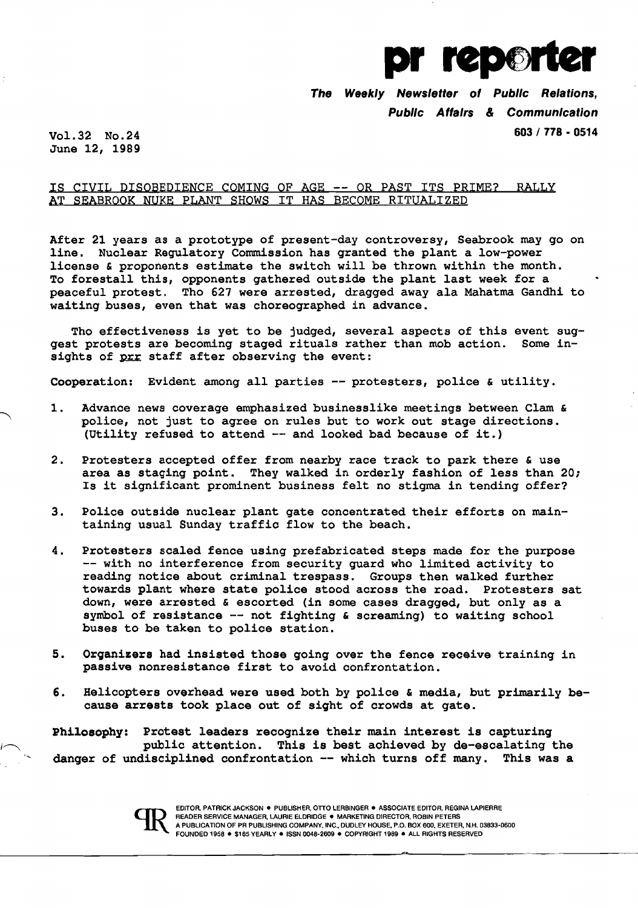

The Weekly Newsletter of Public Relations, Public Affairs & Communication Vol. 32 No. 24 603 / 778 - 0514

June 12, 1989

## IS CIVIL DISOBEDIENCE COMING OF AGE -- OR PAST ITS PRIME? RALLY AT SEABROOK NUKE PLANT SHOWS IT HAS BECOME RITUALIZED

After 21 years as a prototype of present-day controversy, Seabrook may go on line. Nuclear Regulatory Commission has granted the plant a low-power license & proponents estimate the switch will be thrown within the month. To forestall this, opponents gathered outside the plant last week for a peaceful protest. Tho 627 were arrested, dragged away ala Mahatma Gandhi to waiting buses, even that was choreographed in advance.

Tho effectiveness is yet to be judged, several aspects of this event suggest protests are becoming staged rituals rather than mob action. Some insights of prr staff after observing the event:

Cooperation: Evident among all parties -- protesters, police & utility.

- 1. Advance news coverage emphasized businesslike meetings between Clam & police, not just to agree on rules but to work out stage directions. (Utility refused to attend -- and looked bad because of it.)
- 2. Protesters accepted offer from nearby race track to park there & use area as staging point. They walked in orderly fashion of less than 20; Is it significant prominent business felt no stiqma in tending offer?
- 3. Police outside nuclear plant gate concentrated their efforts on maintaining usual Sunday traffic flow to the beach.
- 4. Protesters scaled fence using prefabricated steps made for the purpose -- with no interference from security guard who limited activity to reading notice about criminal trespass. Groups then walked further towards plant where state police stood across the road. Protesters sat down, were arrested & escorted (in some cases dragged, but only as a symbol of resistance -- not fighting & screaming) to waiting school buses to be taken to police station.
- 5. Organizers had insisted those going over the fence receive training in passive nonresistance first to avoid confrontation.
- 6. Helicopters overhead were used both by police & media, but primarily because arrests took place out of sight of crowds at gate.

Philosophy: Protest leaders recognize their main interest is capturing public attention. This is best achieved by de-escalating the danger of undisciplined confrontation -- which turns off many. This was a

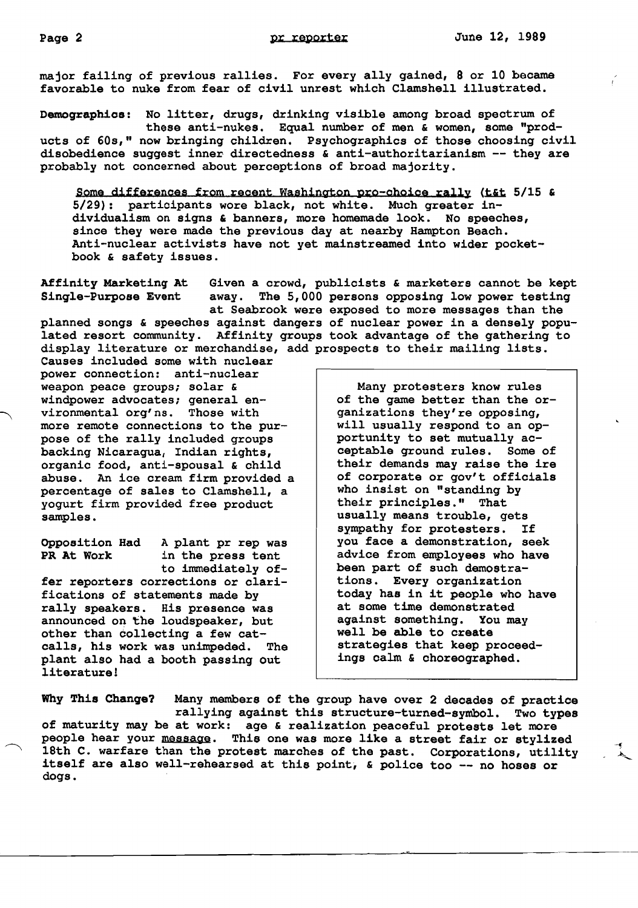major failinq of previous rallies. For every ally qained, 8 or 10 became favorable to nuke from fear of civil unrest which Clamshell illustrated.

Demoqraphics: No litter, druqs, drinkinq visible amonq broad spectrum of these anti-nukes. Equal number of men & women, some "products of 60s," now brinqinq children. Psychoqraphics of those choosinq civil disobedience suqqest inner directedness & anti-authoritarianism -- they are probably not concerned about perceptions of broad majority.

Some differences from recent Washington pro-choice rally (t&t 5/15 & 5/29): partioipants wore black, not white. Much qreater individualism on siqns & banners, more homemade look. No speeches, since they were made the previous day at nearby Hampton Beach. Anti-nuclear activists have not yet mainstreamed into wider pocketbook & safety issues.

Affinity Marketing At Given a crowd, publicists & marketers cannot be kept<br>Single-Purpose Event away. The 5,000 persons opposing low power testing away. The 5,000 persons opposing low power testing at Seabrook were exposed to more messages than the planned sonqs & speeches aqainst danqers of nuclear power in a densely populated resort community. Affinity qroups took advantaqe of the qatherinq to display literature or merchandise, add prospects to their mailinq lists.

Causes included some with nuclear power connection: anti-nuclear weapon peace qroups; solar & windpower advocates; qeneral environmental orq'ns. Those with more remote connections to the purpose of the rally included qroups backinq Nicaraqua, Indian riqhts, organic food, anti-spousal & child abuse. An ice cream firm provided a percentaqe of sales to Clamshell, a yoqurt firm provided free product samples.

Opposition Had A plant pr rep was<br>PR At Work in the press tent in the press tent to immediately offer reporters corrections or clarifications of statements made by rally speakers. His presence was announced on the loudspeaker, but other than collectinq a few catcalls, his work was unimpeded. The plant also had a booth passinq out literature!

Many protesters know rules of the qame better than the orqanizations they're opposinq, will usually respond to an opportunity to set mutually acceptable qround rules. Some of their demands may raise the ire of corporate or qov't officials who insist on "standinq by their principles." That usually means trouble, qets sympathy for protesters. If you face a demonstration, seek advice from employees who have been part of such demostrations. Every orqanization today has in it people who have at some time demonstrated against somethinq. You may well be able to create strateqies that keep proceedinqs calm & choreoqraphed.

Why This Change? Many members of the qroup have over 2 decades of practice rallyinq aqainst this structure-turned-symbol. Two types of maturity may be at work: aqe & realization peaceful protests let more people hear your message. This one was more like a street fair or stylized 18th C. warfare than the protest marches of the past. Corporations, utility itself are also well-rehearsed at this point, & police too -- no hoses or doqs.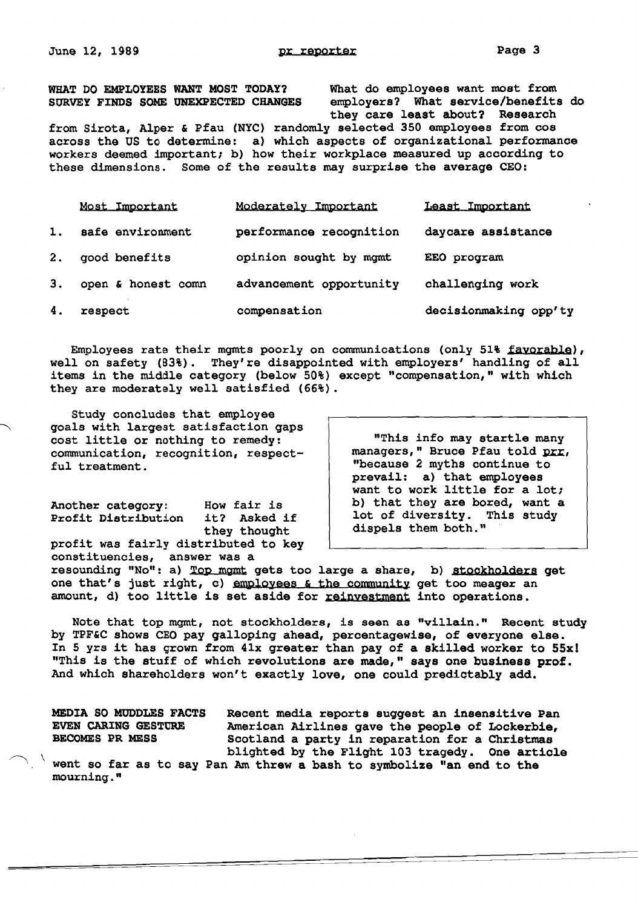WHAT DO EMPLOYEES WANT MOST TODAY? What do employees want most from<br>SURVEY FINDS SOME UNEXPECTED CHANGES employers? What service/benefits

employers? What service/benefits do they care least about? Research

from Sirota, Alper & pfau (NYC) randomly selected 350 employees from cos across the US to determine: a) which aspects of organizational performance workers deemed important; b) how their workplace measured up according to these dimensions. Some of the results may surprise the average CEO:

|    | Most Important     | Moderately Important    | Least Important       |
|----|--------------------|-------------------------|-----------------------|
| 1. | safe environment   | performance recognition | daycare assistance    |
| 2. | good benefits      | opinion sought by mgmt  | EEO program           |
| З. | open & honest comn | advancement opportunity | challenging work      |
| 4. | respect            | compensation            | decisionmaking opp'ty |

Employees rate their mqmts poorly on communications (only 51% favorable), well on safety (83%). They're disappointed with employers' handling of all items in the middle category (below 50%) except "compensation," with which they are moderately well satisfied (66%).

Study concludes that employee goals with largest satisfaction gaps cost little or nothing to remedy: communication, recognition, respect-<br>ful treatment.

profit was fairly distributed to key constituencies, answer was a

"This info may startle many<br>managers," Bruce Pfau told prr. "because 2 myths continue to prevail: a) that employees want to work little for a lot; Another category: How fair is b) that they are bored, want a profit Distribution it? Asked if lot of diversity. This study it? Asked if lot of diversity. This study<br>they thought dispels them both." dispels them both."

resounding "No": a) Top mgmt gets too large a share, b) stockholders get one that's just right, c) employees & the community get too meager an amount, d) too little is set aside for reinvestment into operations.

Note that top mgmt, not stockholders, is seen as "villain." Recent study by TPF&C shows CEO pay galloping ahead, percentagewise, of everyone else. In 5 yrs it has grown from 41x greater than pay of a skilled worker to 55xl "This is the stuff of which revolutions are made," says one business prof. And which shareholders won't exactly love, one could predictably add.

MEDIA SO MUDDLES FACTS Recent media reports suggest an insensitive Pan EVEN CARING GESTURE American Airlines gave the people of Lockerbie,<br>BECOMES PR MESS Scotland a party in reparation for a Christmas Scotland a party in reparation for a Christmas<br>blighted by the Flight 103 tragedy. One article

blightharpoont in the V and  $\alpha$  is the value  $\alpha$  is the symbolize  $\alpha$  and to the mourning."